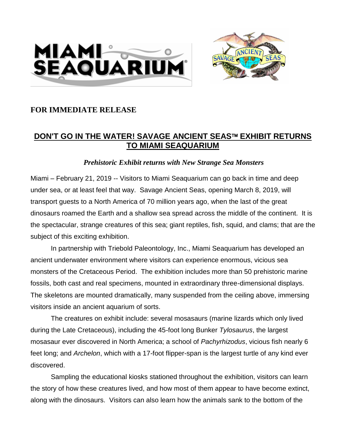



## **FOR IMMEDIATE RELEASE**

## **DON'T GO IN THE WATER! SAVAGE ANCIENT SEAS EXHIBIT RETURNS TO MIAMI SEAQUARIUM**

## *Prehistoric Exhibit returns with New Strange Sea Monsters*

Miami – February 21, 2019 -- Visitors to Miami Seaquarium can go back in time and deep under sea, or at least feel that way. Savage Ancient Seas, opening March 8, 2019, will transport guests to a North America of 70 million years ago, when the last of the great dinosaurs roamed the Earth and a shallow sea spread across the middle of the continent. It is the spectacular, strange creatures of this sea; giant reptiles, fish, squid, and clams; that are the subject of this exciting exhibition.

In partnership with Triebold Paleontology, Inc., Miami Seaquarium has developed an ancient underwater environment where visitors can experience enormous, vicious sea monsters of the Cretaceous Period. The exhibition includes more than 50 prehistoric marine fossils, both cast and real specimens, mounted in extraordinary three-dimensional displays. The skeletons are mounted dramatically, many suspended from the ceiling above, immersing visitors inside an ancient aquarium of sorts.

The creatures on exhibit include: several mosasaurs (marine lizards which only lived during the Late Cretaceous), including the 45-foot long Bunker *Tylosaurus*, the largest mosasaur ever discovered in North America; a school of *Pachyrhizodus*, vicious fish nearly 6 feet long; and *Archelon*, which with a 17-foot flipper-span is the largest turtle of any kind ever discovered.

Sampling the educational kiosks stationed throughout the exhibition, visitors can learn the story of how these creatures lived, and how most of them appear to have become extinct, along with the dinosaurs. Visitors can also learn how the animals sank to the bottom of the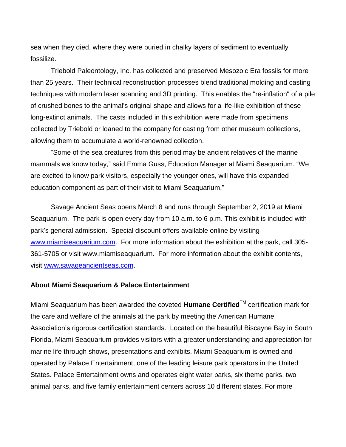sea when they died, where they were buried in chalky layers of sediment to eventually fossilize.

Triebold Paleontology, Inc. has collected and preserved Mesozoic Era fossils for more than 25 years. Their technical reconstruction processes blend traditional molding and casting techniques with modern laser scanning and 3D printing. This enables the "re-inflation" of a pile of crushed bones to the animal's original shape and allows for a life-like exhibition of these long-extinct animals. The casts included in this exhibition were made from specimens collected by Triebold or loaned to the company for casting from other museum collections, allowing them to accumulate a world-renowned collection.

"Some of the sea creatures from this period may be ancient relatives of the marine mammals we know today," said Emma Guss, Education Manager at Miami Seaquarium. "We are excited to know park visitors, especially the younger ones, will have this expanded education component as part of their visit to Miami Seaquarium."

Savage Ancient Seas opens March 8 and runs through September 2, 2019 at Miami Seaquarium. The park is open every day from 10 a.m. to 6 p.m. This exhibit is included with park's general admission. Special discount offers available online by visiting [www.miamiseaquarium.com.](http://www.miamiseaquarium.com/) For more information about the exhibition at the park, call 305- 361-5705 or visit www.miamiseaquarium. For more information about the exhibit contents, visit [www.savageancientseas.com.](http://www.savageancientseas.com/)

## **About Miami Seaquarium & Palace Entertainment**

Miami Seaquarium has been awarded the coveted **Humane Certified**TM certification mark for the care and welfare of the animals at the park by meeting the American Humane Association's rigorous certification standards. Located on the beautiful Biscayne Bay in South Florida, Miami Seaquarium provides visitors with a greater understanding and appreciation for marine life through shows, presentations and exhibits. Miami Seaquarium is owned and operated by Palace Entertainment, one of the leading leisure park operators in the United States. Palace Entertainment owns and operates eight water parks, six theme parks, two animal parks, and five family entertainment centers across 10 different states. For more